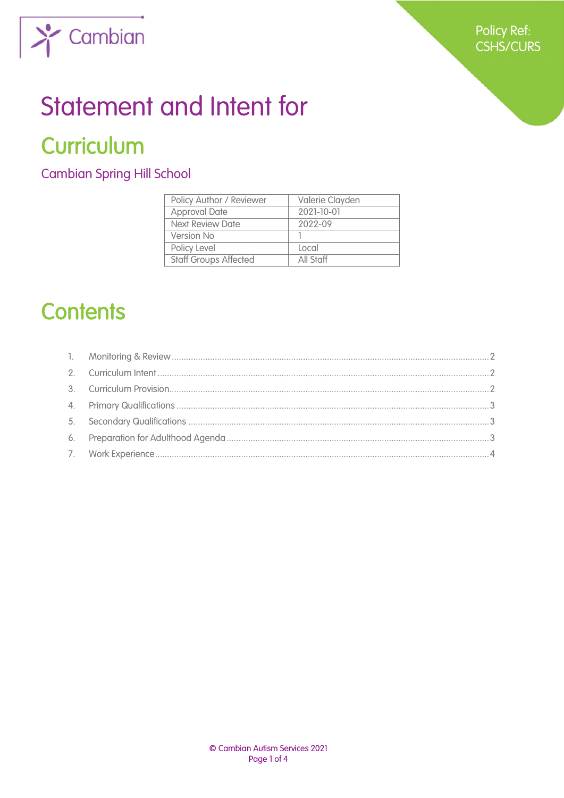

## **Statement and Intent for**

## **Curriculum**

**Cambian Spring Hill School** 

| Policy Author / Reviewer     | Valerie Clayden |
|------------------------------|-----------------|
| <b>Approval Date</b>         | 2021-10-01      |
| Next Review Date             | 2022-09         |
| Version No                   |                 |
| Policy Level                 | Local           |
| <b>Staff Groups Affected</b> | All Staff       |

## **Contents**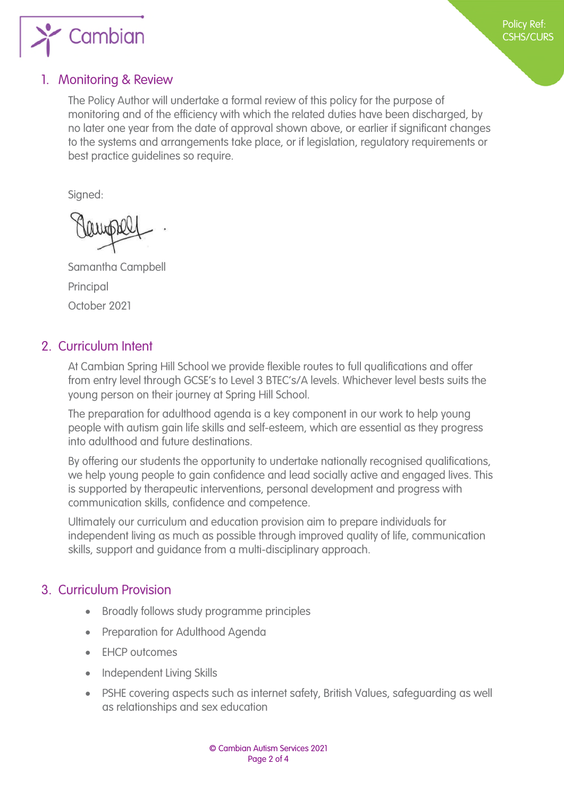

### <span id="page-1-0"></span>1. Monitoring & Review

The Policy Author will undertake a formal review of this policy for the purpose of monitoring and of the efficiency with which the related duties have been discharged, by no later one year from the date of approval shown above, or earlier if significant changes to the systems and arrangements take place, or if legislation, regulatory requirements or best practice guidelines so require.

Signed:

Samantha Campbell Principal October 2021

### <span id="page-1-1"></span>2. Curriculum Intent

At Cambian Spring Hill School we provide flexible routes to full qualifications and offer from entry level through GCSE's to Level 3 BTEC's/A levels. Whichever level bests suits the young person on their journey at Spring Hill School.

The preparation for adulthood agenda is a key component in our work to help young people with autism gain life skills and self-esteem, which are essential as they progress into adulthood and future destinations.

By offering our students the opportunity to undertake nationally recognised qualifications, we help young people to gain confidence and lead socially active and engaged lives. This is supported by therapeutic interventions, personal development and progress with communication skills, confidence and competence.

Ultimately our curriculum and education provision aim to prepare individuals for independent living as much as possible through improved quality of life, communication skills, support and guidance from a multi-disciplinary approach.

### <span id="page-1-2"></span>3. Curriculum Provision

- Broadly follows study programme principles
- Preparation for Adulthood Agenda
- EHCP outcomes
- Independent Living Skills
- PSHE covering aspects such as internet safety, British Values, safeguarding as well as relationships and sex education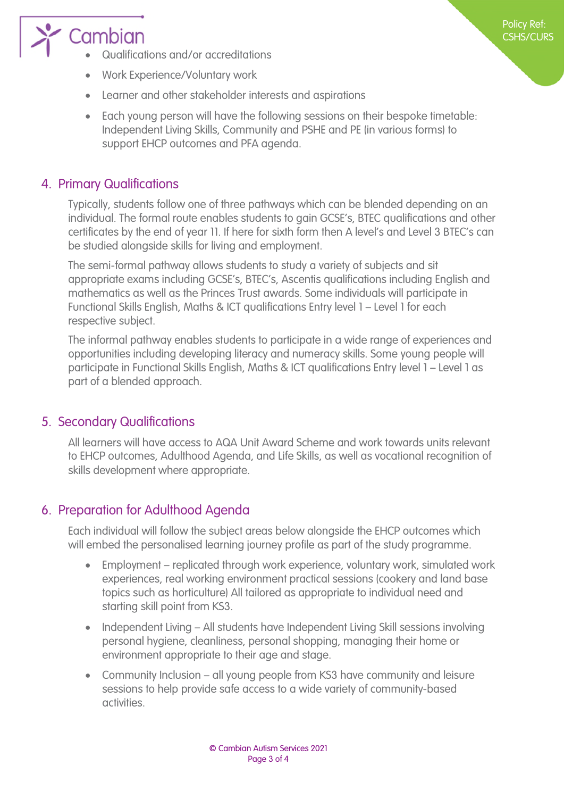# Cambian

Qualifications and/or accreditations

- Work Experience/Voluntary work
- Learner and other stakeholder interests and aspirations
- Each young person will have the following sessions on their bespoke timetable: Independent Living Skills, Community and PSHE and PE (in various forms) to support EHCP outcomes and PFA agenda.

### <span id="page-2-0"></span>4. Primary Qualifications

Typically, students follow one of three pathways which can be blended depending on an individual. The formal route enables students to gain GCSE's, BTEC qualifications and other certificates by the end of year 11. If here for sixth form then A level's and Level 3 BTEC's can be studied alongside skills for living and employment.

The semi-formal pathway allows students to study a variety of subjects and sit appropriate exams including GCSE's, BTEC's, Ascentis qualifications including English and mathematics as well as the Princes Trust awards. Some individuals will participate in Functional Skills English, Maths & ICT qualifications Entry level 1 – Level 1 for each respective subject.

The informal pathway enables students to participate in a wide range of experiences and opportunities including developing literacy and numeracy skills. Some young people will participate in Functional Skills English, Maths & ICT qualifications Entry level 1 – Level 1 as part of a blended approach.

### <span id="page-2-1"></span>5. Secondary Qualifications

All learners will have access to AQA Unit Award Scheme and work towards units relevant to EHCP outcomes, Adulthood Agenda, and Life Skills, as well as vocational recognition of skills development where appropriate.

### <span id="page-2-2"></span>6. Preparation for Adulthood Agenda

Each individual will follow the subject areas below alongside the EHCP outcomes which will embed the personalised learning journey profile as part of the study programme.

- Employment replicated through work experience, voluntary work, simulated work experiences, real working environment practical sessions (cookery and land base topics such as horticulture) All tailored as appropriate to individual need and starting skill point from KS3.
- Independent Living All students have Independent Living Skill sessions involving personal hygiene, cleanliness, personal shopping, managing their home or environment appropriate to their age and stage.
- Community Inclusion all young people from KS3 have community and leisure sessions to help provide safe access to a wide variety of community-based activities.